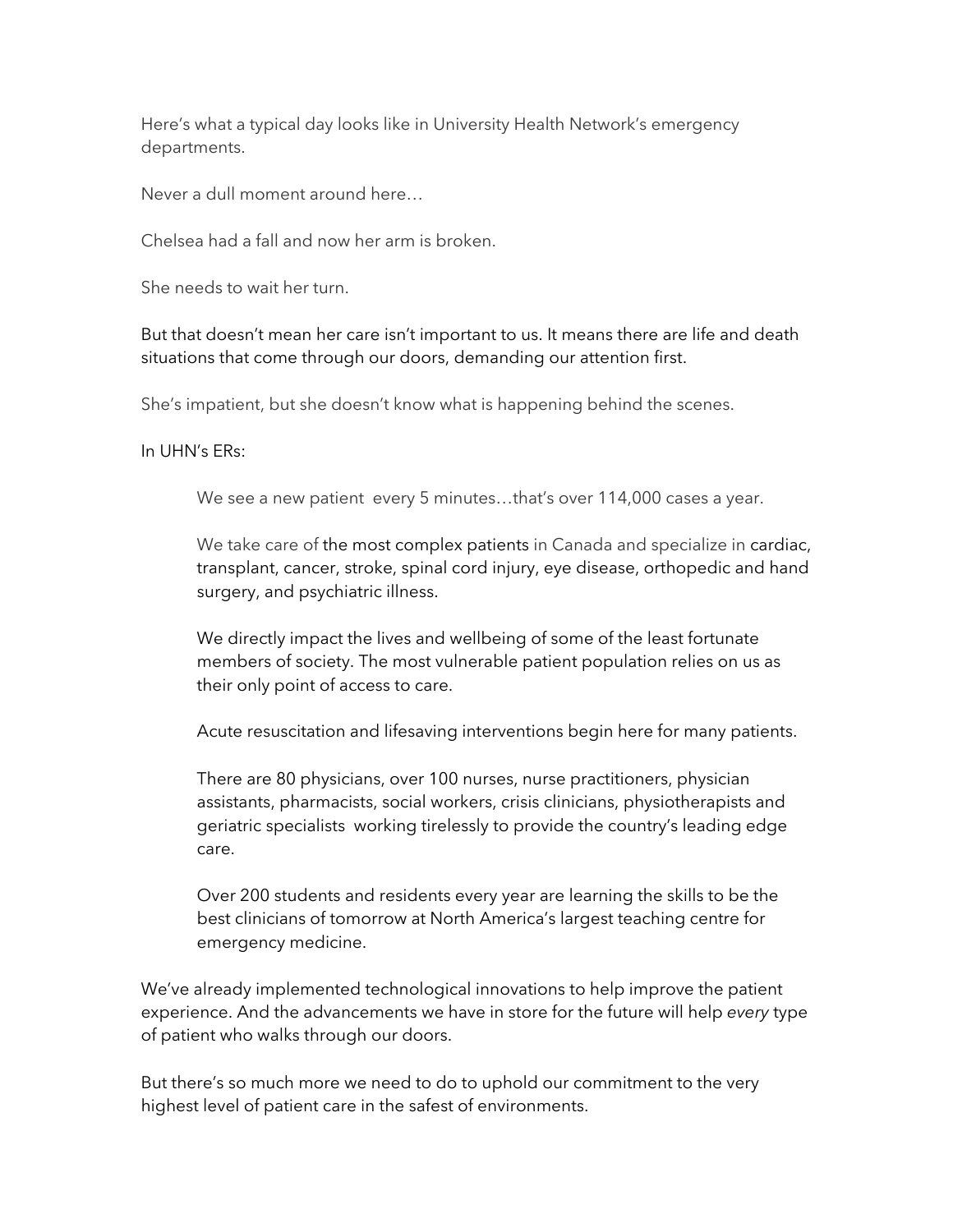Here's what a typical day looks like in University Health Network's emergency departments.

Never a dull moment around here…

Chelsea had a fall and now her arm is broken.

She needs to wait her turn.

But that doesn't mean her care isn't important to us. It means there are life and death situations that come through our doors, demanding our attention first.

She's impatient, but she doesn't know what is happening behind the scenes.

In UHN's ERs:

We see a new patient every 5 minutes…that's over 114,000 cases a year.

We take care of the most complex patients in Canada and specialize in cardiac, transplant, cancer, stroke, spinal cord injury, eye disease, orthopedic and hand surgery, and psychiatric illness.

We directly impact the lives and wellbeing of some of the least fortunate members of society. The most vulnerable patient population relies on us as their only point of access to care.

Acute resuscitation and lifesaving interventions begin here for many patients.

There are 80 physicians, over 100 nurses, nurse practitioners, physician assistants, pharmacists, social workers, crisis clinicians, physiotherapists and geriatric specialists working tirelessly to provide the country's leading edge care.

Over 200 students and residents every year are learning the skills to be the best clinicians of tomorrow at North America's largest teaching centre for emergency medicine.

We've already implemented technological innovations to help improve the patient experience. And the advancements we have in store for the future will help *every* type of patient who walks through our doors.

But there's so much more we need to do to uphold our commitment to the very highest level of patient care in the safest of environments.